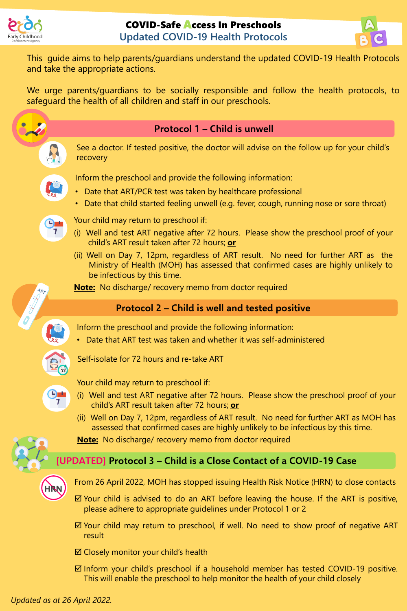



This guide aims to help parents/guardians understand the updated COVID-19 Health Protocols and take the appropriate actions.

We urge parents/guardians to be socially responsible and follow the health protocols, to safeguard the health of all children and staff in our preschools.



- $\boxtimes$  Closely monitor your child's health
- $\boxtimes$  Inform your child's preschool if a household member has tested COVID-19 positive. This will enable the preschool to help monitor the health of your child closely